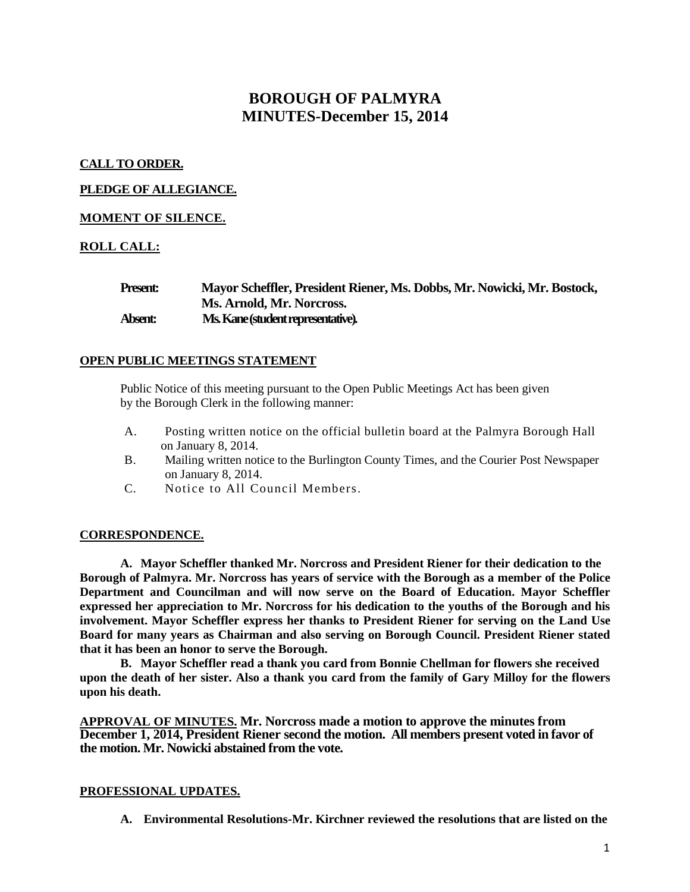# **BOROUGH OF PALMYRA MINUTES-December 15, 2014**

## **CALL TO ORDER.**

## **PLEDGE OF ALLEGIANCE.**

## **MOMENT OF SILENCE.**

# **ROLL CALL:**

| <b>Present:</b> | Mayor Scheffler, President Riener, Ms. Dobbs, Mr. Nowicki, Mr. Bostock, |
|-----------------|-------------------------------------------------------------------------|
|                 | Ms. Arnold, Mr. Norcross.                                               |
| Absent:         | Ms. Kane (student representative).                                      |

## **OPEN PUBLIC MEETINGS STATEMENT**

Public Notice of this meeting pursuant to the Open Public Meetings Act has been given by the Borough Clerk in the following manner:

- A. Posting written notice on the official bulletin board at the Palmyra Borough Hall on January 8, 2014.
- B. Mailing written notice to the Burlington County Times, and the Courier Post Newspaper on January 8, 2014.
- C. Notice to All Council Members.

## **CORRESPONDENCE.**

**A. Mayor Scheffler thanked Mr. Norcross and President Riener for their dedication to the Borough of Palmyra. Mr. Norcross has years of service with the Borough as a member of the Police Department and Councilman and will now serve on the Board of Education. Mayor Scheffler expressed her appreciation to Mr. Norcross for his dedication to the youths of the Borough and his involvement. Mayor Scheffler express her thanks to President Riener for serving on the Land Use Board for many years as Chairman and also serving on Borough Council. President Riener stated that it has been an honor to serve the Borough.** 

**B. Mayor Scheffler read a thank you card from Bonnie Chellman for flowers she received upon the death of her sister. Also a thank you card from the family of Gary Milloy for the flowers upon his death.** 

**APPROVAL OF MINUTES. Mr. Norcross made a motion to approve the minutes from December 1, 2014, President Riener second the motion. All members present voted in favor of the motion. Mr. Nowicki abstained from the vote.** 

## **PROFESSIONAL UPDATES.**

**A. Environmental Resolutions-Mr. Kirchner reviewed the resolutions that are listed on the**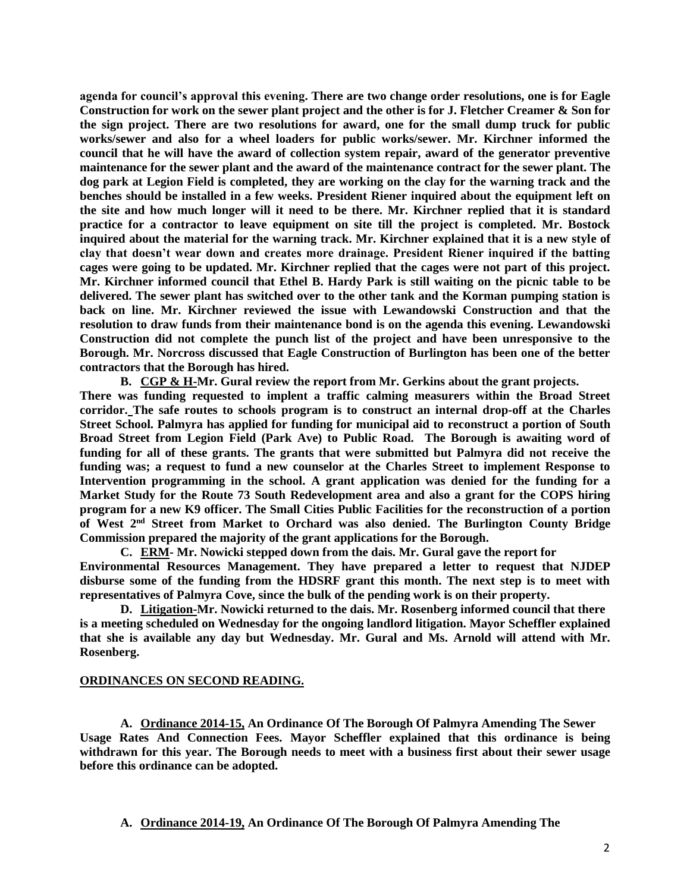**agenda for council's approval this evening. There are two change order resolutions, one is for Eagle Construction for work on the sewer plant project and the other is for J. Fletcher Creamer & Son for the sign project. There are two resolutions for award, one for the small dump truck for public works/sewer and also for a wheel loaders for public works/sewer. Mr. Kirchner informed the council that he will have the award of collection system repair, award of the generator preventive maintenance for the sewer plant and the award of the maintenance contract for the sewer plant. The dog park at Legion Field is completed, they are working on the clay for the warning track and the benches should be installed in a few weeks. President Riener inquired about the equipment left on the site and how much longer will it need to be there. Mr. Kirchner replied that it is standard practice for a contractor to leave equipment on site till the project is completed. Mr. Bostock inquired about the material for the warning track. Mr. Kirchner explained that it is a new style of clay that doesn't wear down and creates more drainage. President Riener inquired if the batting cages were going to be updated. Mr. Kirchner replied that the cages were not part of this project. Mr. Kirchner informed council that Ethel B. Hardy Park is still waiting on the picnic table to be delivered. The sewer plant has switched over to the other tank and the Korman pumping station is back on line. Mr. Kirchner reviewed the issue with Lewandowski Construction and that the resolution to draw funds from their maintenance bond is on the agenda this evening. Lewandowski Construction did not complete the punch list of the project and have been unresponsive to the Borough. Mr. Norcross discussed that Eagle Construction of Burlington has been one of the better contractors that the Borough has hired.** 

**B. CGP & H-Mr. Gural review the report from Mr. Gerkins about the grant projects. There was funding requested to implent a traffic calming measurers within the Broad Street corridor. The safe routes to schools program is to construct an internal drop-off at the Charles Street School. Palmyra has applied for funding for municipal aid to reconstruct a portion of South Broad Street from Legion Field (Park Ave) to Public Road. The Borough is awaiting word of funding for all of these grants. The grants that were submitted but Palmyra did not receive the funding was; a request to fund a new counselor at the Charles Street to implement Response to Intervention programming in the school. A grant application was denied for the funding for a Market Study for the Route 73 South Redevelopment area and also a grant for the COPS hiring program for a new K9 officer. The Small Cities Public Facilities for the reconstruction of a portion of West 2nd Street from Market to Orchard was also denied. The Burlington County Bridge Commission prepared the majority of the grant applications for the Borough.** 

**C. ERM- Mr. Nowicki stepped down from the dais. Mr. Gural gave the report for Environmental Resources Management. They have prepared a letter to request that NJDEP disburse some of the funding from the HDSRF grant this month. The next step is to meet with representatives of Palmyra Cove, since the bulk of the pending work is on their property.** 

**D. Litigation-Mr. Nowicki returned to the dais. Mr. Rosenberg informed council that there is a meeting scheduled on Wednesday for the ongoing landlord litigation. Mayor Scheffler explained that she is available any day but Wednesday. Mr. Gural and Ms. Arnold will attend with Mr. Rosenberg.** 

### **ORDINANCES ON SECOND READING.**

**A. Ordinance 2014-15, An Ordinance Of The Borough Of Palmyra Amending The Sewer Usage Rates And Connection Fees. Mayor Scheffler explained that this ordinance is being withdrawn for this year. The Borough needs to meet with a business first about their sewer usage before this ordinance can be adopted.** 

**A. Ordinance 2014-19, An Ordinance Of The Borough Of Palmyra Amending The**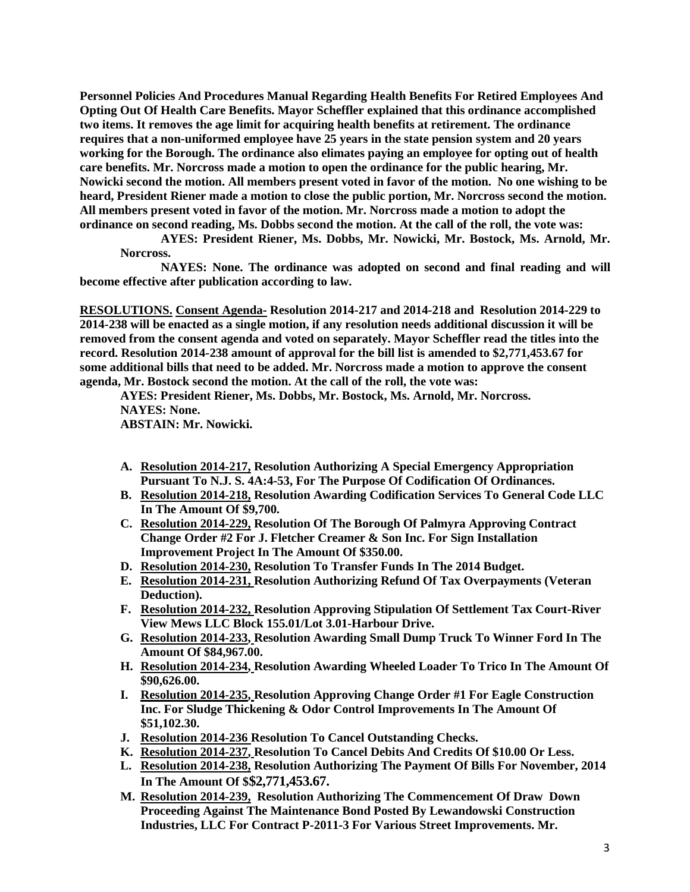**Personnel Policies And Procedures Manual Regarding Health Benefits For Retired Employees And Opting Out Of Health Care Benefits. Mayor Scheffler explained that this ordinance accomplished two items. It removes the age limit for acquiring health benefits at retirement. The ordinance requires that a non-uniformed employee have 25 years in the state pension system and 20 years working for the Borough. The ordinance also elimates paying an employee for opting out of health care benefits. Mr. Norcross made a motion to open the ordinance for the public hearing, Mr. Nowicki second the motion. All members present voted in favor of the motion. No one wishing to be heard, President Riener made a motion to close the public portion, Mr. Norcross second the motion. All members present voted in favor of the motion. Mr. Norcross made a motion to adopt the ordinance on second reading, Ms. Dobbs second the motion. At the call of the roll, the vote was:**

**AYES: President Riener, Ms. Dobbs, Mr. Nowicki, Mr. Bostock, Ms. Arnold, Mr. Norcross.**

**NAYES: None. The ordinance was adopted on second and final reading and will become effective after publication according to law.** 

**RESOLUTIONS. Consent Agenda- Resolution 2014-217 and 2014-218 and Resolution 2014-229 to 2014-238 will be enacted as a single motion, if any resolution needs additional discussion it will be removed from the consent agenda and voted on separately. Mayor Scheffler read the titles into the record. Resolution 2014-238 amount of approval for the bill list is amended to \$2,771,453.67 for some additional bills that need to be added. Mr. Norcross made a motion to approve the consent agenda, Mr. Bostock second the motion. At the call of the roll, the vote was:**

**AYES: President Riener, Ms. Dobbs, Mr. Bostock, Ms. Arnold, Mr. Norcross. NAYES: None. ABSTAIN: Mr. Nowicki.** 

- **A. Resolution 2014-217, Resolution Authorizing A Special Emergency Appropriation Pursuant To N.J. S. 4A:4-53, For The Purpose Of Codification Of Ordinances.**
- **B. Resolution 2014-218, Resolution Awarding Codification Services To General Code LLC In The Amount Of \$9,700.**
- **C. Resolution 2014-229, Resolution Of The Borough Of Palmyra Approving Contract Change Order #2 For J. Fletcher Creamer & Son Inc. For Sign Installation Improvement Project In The Amount Of \$350.00.**
- **D. Resolution 2014-230, Resolution To Transfer Funds In The 2014 Budget.**
- **E. Resolution 2014-231, Resolution Authorizing Refund Of Tax Overpayments (Veteran Deduction).**
- **F. Resolution 2014-232, Resolution Approving Stipulation Of Settlement Tax Court-River View Mews LLC Block 155.01/Lot 3.01-Harbour Drive.**
- **G. Resolution 2014-233, Resolution Awarding Small Dump Truck To Winner Ford In The Amount Of \$84,967.00.**
- **H. Resolution 2014-234, Resolution Awarding Wheeled Loader To Trico In The Amount Of \$90,626.00.**
- **I. Resolution 2014-235, Resolution Approving Change Order #1 For Eagle Construction Inc. For Sludge Thickening & Odor Control Improvements In The Amount Of \$51,102.30.**
- **J. Resolution 2014-236 Resolution To Cancel Outstanding Checks.**
- **K. Resolution 2014-237, Resolution To Cancel Debits And Credits Of \$10.00 Or Less.**
- **L. Resolution 2014-238, Resolution Authorizing The Payment Of Bills For November, 2014 In The Amount Of \$\$2,771,453.67.**
- **M. Resolution 2014-239, Resolution Authorizing The Commencement Of Draw Down Proceeding Against The Maintenance Bond Posted By Lewandowski Construction Industries, LLC For Contract P-2011-3 For Various Street Improvements. Mr.**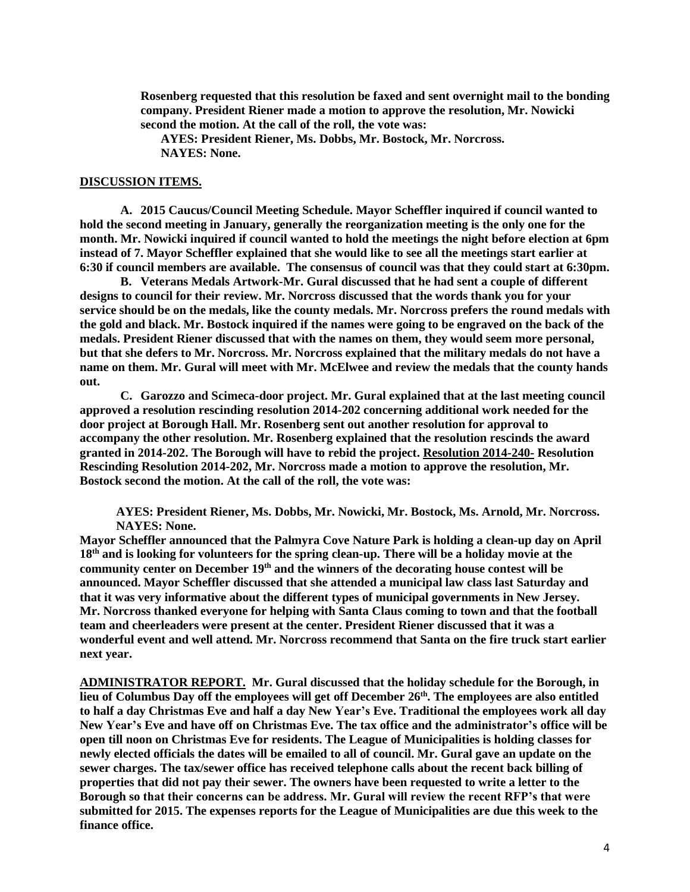**Rosenberg requested that this resolution be faxed and sent overnight mail to the bonding company. President Riener made a motion to approve the resolution, Mr. Nowicki second the motion. At the call of the roll, the vote was:**

**AYES: President Riener, Ms. Dobbs, Mr. Bostock, Mr. Norcross. NAYES: None.**

#### **DISCUSSION ITEMS.**

**A. 2015 Caucus/Council Meeting Schedule. Mayor Scheffler inquired if council wanted to hold the second meeting in January, generally the reorganization meeting is the only one for the month. Mr. Nowicki inquired if council wanted to hold the meetings the night before election at 6pm instead of 7. Mayor Scheffler explained that she would like to see all the meetings start earlier at 6:30 if council members are available. The consensus of council was that they could start at 6:30pm.** 

**B. Veterans Medals Artwork-Mr. Gural discussed that he had sent a couple of different designs to council for their review. Mr. Norcross discussed that the words thank you for your service should be on the medals, like the county medals. Mr. Norcross prefers the round medals with the gold and black. Mr. Bostock inquired if the names were going to be engraved on the back of the medals. President Riener discussed that with the names on them, they would seem more personal, but that she defers to Mr. Norcross. Mr. Norcross explained that the military medals do not have a name on them. Mr. Gural will meet with Mr. McElwee and review the medals that the county hands out.** 

**C. Garozzo and Scimeca-door project. Mr. Gural explained that at the last meeting council approved a resolution rescinding resolution 2014-202 concerning additional work needed for the door project at Borough Hall. Mr. Rosenberg sent out another resolution for approval to accompany the other resolution. Mr. Rosenberg explained that the resolution rescinds the award granted in 2014-202. The Borough will have to rebid the project. Resolution 2014-240- Resolution Rescinding Resolution 2014-202, Mr. Norcross made a motion to approve the resolution, Mr. Bostock second the motion. At the call of the roll, the vote was:**

**AYES: President Riener, Ms. Dobbs, Mr. Nowicki, Mr. Bostock, Ms. Arnold, Mr. Norcross. NAYES: None.** 

**Mayor Scheffler announced that the Palmyra Cove Nature Park is holding a clean-up day on April 18th and is looking for volunteers for the spring clean-up. There will be a holiday movie at the community center on December 19th and the winners of the decorating house contest will be announced. Mayor Scheffler discussed that she attended a municipal law class last Saturday and that it was very informative about the different types of municipal governments in New Jersey. Mr. Norcross thanked everyone for helping with Santa Claus coming to town and that the football team and cheerleaders were present at the center. President Riener discussed that it was a wonderful event and well attend. Mr. Norcross recommend that Santa on the fire truck start earlier next year.** 

**ADMINISTRATOR REPORT. Mr. Gural discussed that the holiday schedule for the Borough, in lieu of Columbus Day off the employees will get off December 26th. The employees are also entitled to half a day Christmas Eve and half a day New Year's Eve. Traditional the employees work all day New Year's Eve and have off on Christmas Eve. The tax office and the administrator's office will be open till noon on Christmas Eve for residents. The League of Municipalities is holding classes for newly elected officials the dates will be emailed to all of council. Mr. Gural gave an update on the sewer charges. The tax/sewer office has received telephone calls about the recent back billing of properties that did not pay their sewer. The owners have been requested to write a letter to the Borough so that their concerns can be address. Mr. Gural will review the recent RFP's that were submitted for 2015. The expenses reports for the League of Municipalities are due this week to the finance office.**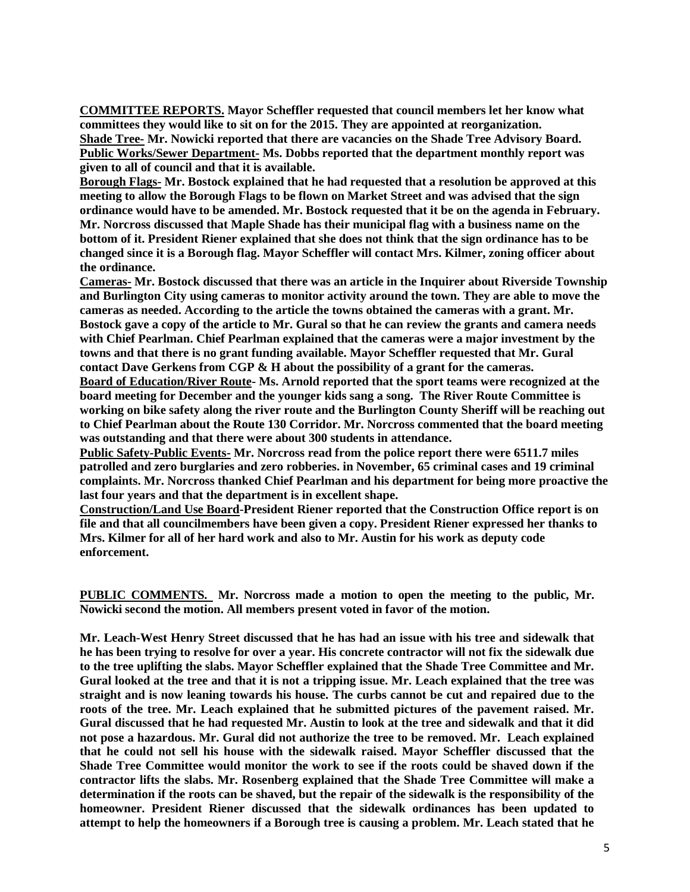**COMMITTEE REPORTS. Mayor Scheffler requested that council members let her know what committees they would like to sit on for the 2015. They are appointed at reorganization. Shade Tree- Mr. Nowicki reported that there are vacancies on the Shade Tree Advisory Board. Public Works/Sewer Department- Ms. Dobbs reported that the department monthly report was given to all of council and that it is available.** 

**Borough Flags- Mr. Bostock explained that he had requested that a resolution be approved at this meeting to allow the Borough Flags to be flown on Market Street and was advised that the sign ordinance would have to be amended. Mr. Bostock requested that it be on the agenda in February. Mr. Norcross discussed that Maple Shade has their municipal flag with a business name on the bottom of it. President Riener explained that she does not think that the sign ordinance has to be changed since it is a Borough flag. Mayor Scheffler will contact Mrs. Kilmer, zoning officer about the ordinance.** 

**Cameras- Mr. Bostock discussed that there was an article in the Inquirer about Riverside Township and Burlington City using cameras to monitor activity around the town. They are able to move the cameras as needed. According to the article the towns obtained the cameras with a grant. Mr. Bostock gave a copy of the article to Mr. Gural so that he can review the grants and camera needs with Chief Pearlman. Chief Pearlman explained that the cameras were a major investment by the towns and that there is no grant funding available. Mayor Scheffler requested that Mr. Gural contact Dave Gerkens from CGP & H about the possibility of a grant for the cameras.** 

**Board of Education/River Route- Ms. Arnold reported that the sport teams were recognized at the board meeting for December and the younger kids sang a song. The River Route Committee is working on bike safety along the river route and the Burlington County Sheriff will be reaching out to Chief Pearlman about the Route 130 Corridor. Mr. Norcross commented that the board meeting was outstanding and that there were about 300 students in attendance.** 

**Public Safety-Public Events- Mr. Norcross read from the police report there were 6511.7 miles patrolled and zero burglaries and zero robberies. in November, 65 criminal cases and 19 criminal complaints. Mr. Norcross thanked Chief Pearlman and his department for being more proactive the last four years and that the department is in excellent shape.**

**Construction/Land Use Board-President Riener reported that the Construction Office report is on file and that all councilmembers have been given a copy. President Riener expressed her thanks to Mrs. Kilmer for all of her hard work and also to Mr. Austin for his work as deputy code enforcement.** 

**PUBLIC COMMENTS. Mr. Norcross made a motion to open the meeting to the public, Mr. Nowicki second the motion. All members present voted in favor of the motion.**

**Mr. Leach-West Henry Street discussed that he has had an issue with his tree and sidewalk that he has been trying to resolve for over a year. His concrete contractor will not fix the sidewalk due to the tree uplifting the slabs. Mayor Scheffler explained that the Shade Tree Committee and Mr. Gural looked at the tree and that it is not a tripping issue. Mr. Leach explained that the tree was straight and is now leaning towards his house. The curbs cannot be cut and repaired due to the roots of the tree. Mr. Leach explained that he submitted pictures of the pavement raised. Mr. Gural discussed that he had requested Mr. Austin to look at the tree and sidewalk and that it did not pose a hazardous. Mr. Gural did not authorize the tree to be removed. Mr. Leach explained that he could not sell his house with the sidewalk raised. Mayor Scheffler discussed that the Shade Tree Committee would monitor the work to see if the roots could be shaved down if the contractor lifts the slabs. Mr. Rosenberg explained that the Shade Tree Committee will make a determination if the roots can be shaved, but the repair of the sidewalk is the responsibility of the homeowner. President Riener discussed that the sidewalk ordinances has been updated to attempt to help the homeowners if a Borough tree is causing a problem. Mr. Leach stated that he**